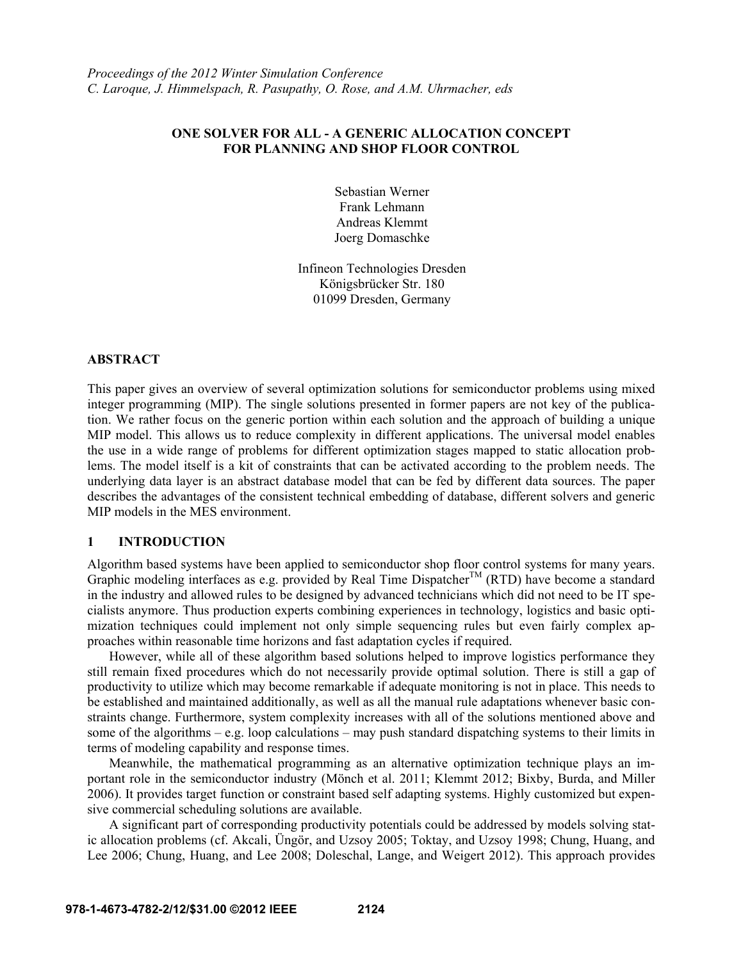## **ONE SOLVER FOR ALL - A GENERIC ALLOCATION CONCEPT FOR PLANNING AND SHOP FLOOR CONTROL**

Sebastian Werner Frank Lehmann Andreas Klemmt Joerg Domaschke

Infineon Technologies Dresden Königsbrücker Str. 180 01099 Dresden, Germany

## **ABSTRACT**

This paper gives an overview of several optimization solutions for semiconductor problems using mixed integer programming (MIP). The single solutions presented in former papers are not key of the publication. We rather focus on the generic portion within each solution and the approach of building a unique MIP model. This allows us to reduce complexity in different applications. The universal model enables the use in a wide range of problems for different optimization stages mapped to static allocation problems. The model itself is a kit of constraints that can be activated according to the problem needs. The underlying data layer is an abstract database model that can be fed by different data sources. The paper describes the advantages of the consistent technical embedding of database, different solvers and generic MIP models in the MES environment.

### **1 INTRODUCTION**

Algorithm based systems have been applied to semiconductor shop floor control systems for many years. Graphic modeling interfaces as e.g. provided by Real Time Dispatcher<sup>TM</sup> (RTD) have become a standard in the industry and allowed rules to be designed by advanced technicians which did not need to be IT specialists anymore. Thus production experts combining experiences in technology, logistics and basic optimization techniques could implement not only simple sequencing rules but even fairly complex approaches within reasonable time horizons and fast adaptation cycles if required.

However, while all of these algorithm based solutions helped to improve logistics performance they still remain fixed procedures which do not necessarily provide optimal solution. There is still a gap of productivity to utilize which may become remarkable if adequate monitoring is not in place. This needs to be established and maintained additionally, as well as all the manual rule adaptations whenever basic constraints change. Furthermore, system complexity increases with all of the solutions mentioned above and some of the algorithms – e.g. loop calculations – may push standard dispatching systems to their limits in terms of modeling capability and response times.

Meanwhile, the mathematical programming as an alternative optimization technique plays an important role in the semiconductor industry (Mönch et al. 2011; Klemmt 2012; Bixby, Burda, and Miller 2006). It provides target function or constraint based self adapting systems. Highly customized but expensive commercial scheduling solutions are available.

A significant part of corresponding productivity potentials could be addressed by models solving static allocation problems (cf. Akcali, Üngör, and Uzsoy 2005; Toktay, and Uzsoy 1998; Chung, Huang, and Lee 2006; Chung, Huang, and Lee 2008; Doleschal, Lange, and Weigert 2012). This approach provides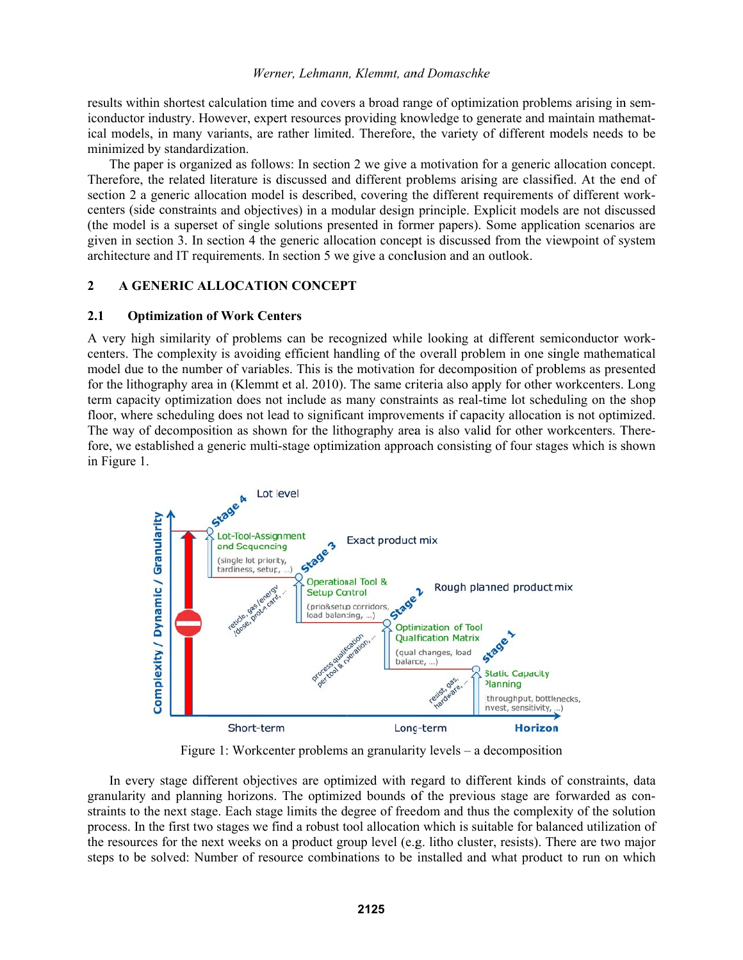results within shortest calculation time and covers a broad range of optimization problems arising in semiconductor industry. However, expert resources providing knowledge to generate and maintain mathematical models, in many variants, are rather limited. Therefore, the variety of different models needs to be minimized by standardization.

The paper is organized as follows: In section 2 we give a motivation for a generic allocation concept. Therefore, the related literature is discussed and different problems arising are classified. At the end of section 2 a generic allocation model is described, covering the different requirements of different workcenters (side constraints and objectives) in a modular design principle. Explicit models are not discussed (the model is a superset of single solutions presented in former papers). Some application scenarios are given in section 3. In section 4 the generic allocation concept is discussed from the viewpoint of system architecture and IT requirements. In section 5 we give a conclusion and an outlook.

## **2** A GENERIC ALLOCATION CONCEPT

## **2.1 Optimization of Work Centers**

A very high similarity of problems can be recognized while looking at different semiconductor workcenters. The complexity is avoiding efficient handling of the overall problem in one single mathematical model due to the number of variables. This is the motivation for decomposition of problems as presented for the lithography area in (Klemmt et al. 2010). The same criteria also apply for other workcenters. Long term capacity optimization does not include as many constraints as real-time lot scheduling on the shop floor, where scheduling does not lead to significant improvements if capacity allocation is not optimized. The way of decomposition as shown for the lithography area is also valid for other workcenters. Therefore, we established a generic multi-stage optimization approach consisting of four stages which is shown in Figure 1.



Figure 1: Workcenter problems an granularity levels – a decomposition

In every stage different objectives are optimized with regard to different kinds of constraints, data granularity and planning horizons. The optimized bounds of the previous stage are forwarded as constraints to the next stage. Each stage limits the degree of freedom and thus the complexity of the solution process. In the first two stages we find a robust tool allocation which is suitable for balanced utilization of the resources for the next weeks on a product group level (e.g. litho cluster, resists). There are two major steps to be solved: Number of resource combinations to be installed and what product to run on which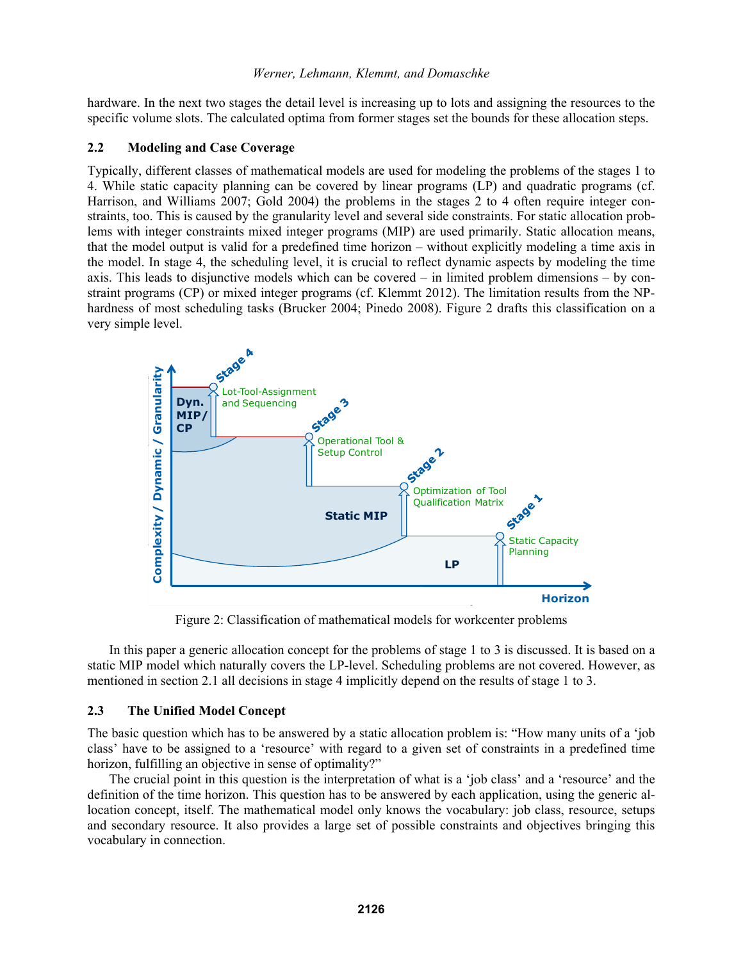hardware. In the next two stages the detail level is increasing up to lots and assigning the resources to the specific volume slots. The calculated optima from former stages set the bounds for these allocation steps.

### **2.2 Modeling and Case Coverage**

Typically, different classes of mathematical models are used for modeling the problems of the stages 1 to 4. While static capacity planning can be covered by linear programs (LP) and quadratic programs (cf. Harrison, and Williams 2007; Gold 2004) the problems in the stages 2 to 4 often require integer constraints, too. This is caused by the granularity level and several side constraints. For static allocation problems with integer constraints mixed integer programs (MIP) are used primarily. Static allocation means, that the model output is valid for a predefined time horizon – without explicitly modeling a time axis in the model. In stage 4, the scheduling level, it is crucial to reflect dynamic aspects by modeling the time axis. This leads to disjunctive models which can be covered – in limited problem dimensions – by constraint programs (CP) or mixed integer programs (cf. Klemmt 2012). The limitation results from the NPhardness of most scheduling tasks (Brucker 2004; Pinedo 2008). Figure 2 drafts this classification on a very simple level.



Figure 2: Classification of mathematical models for workcenter problems

In this paper a generic allocation concept for the problems of stage 1 to 3 is discussed. It is based on a static MIP model which naturally covers the LP-level. Scheduling problems are not covered. However, as mentioned in section 2.1 all decisions in stage 4 implicitly depend on the results of stage 1 to 3.

## **2.3 The Unified Model Concept**

The basic question which has to be answered by a static allocation problem is: "How many units of a 'job class' have to be assigned to a 'resource' with regard to a given set of constraints in a predefined time horizon, fulfilling an objective in sense of optimality?"

The crucial point in this question is the interpretation of what is a 'job class' and a 'resource' and the definition of the time horizon. This question has to be answered by each application, using the generic allocation concept, itself. The mathematical model only knows the vocabulary: job class, resource, setups and secondary resource. It also provides a large set of possible constraints and objectives bringing this vocabulary in connection.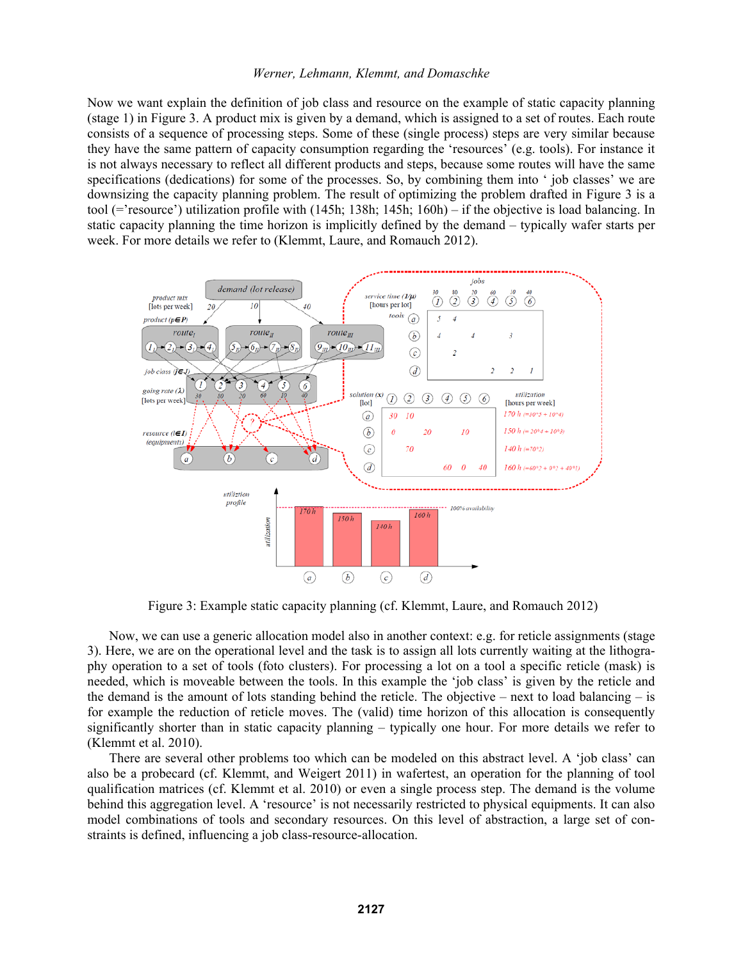Now we want explain the definition of job class and resource on the example of static capacity planning (stage 1) in Figure 3. A product mix is given by a demand, which is assigned to a set of routes. Each route consists of a sequence of processing steps. Some of these (single process) steps are very similar because they have the same pattern of capacity consumption regarding the 'resources' (e.g. tools). For instance it is not always necessary to reflect all different products and steps, because some routes will have the same specifications (dedications) for some of the processes. So, by combining them into ' job classes' we are downsizing the capacity planning problem. The result of optimizing the problem drafted in Figure 3 is a tool (='resource') utilization profile with (145h; 138h; 145h; 160h) – if the objective is load balancing. In static capacity planning the time horizon is implicitly defined by the demand – typically wafer starts per week. For more details we refer to (Klemmt, Laure, and Romauch 2012).



Figure 3: Example static capacity planning (cf. Klemmt, Laure, and Romauch 2012)

Now, we can use a generic allocation model also in another context: e.g. for reticle assignments (stage 3). Here, we are on the operational level and the task is to assign all lots currently waiting at the lithography operation to a set of tools (foto clusters). For processing a lot on a tool a specific reticle (mask) is needed, which is moveable between the tools. In this example the 'job class' is given by the reticle and the demand is the amount of lots standing behind the reticle. The objective – next to load balancing – is for example the reduction of reticle moves. The (valid) time horizon of this allocation is consequently significantly shorter than in static capacity planning – typically one hour. For more details we refer to (Klemmt et al. 2010).

There are several other problems too which can be modeled on this abstract level. A 'job class' can also be a probecard (cf. Klemmt, and Weigert 2011) in wafertest, an operation for the planning of tool qualification matrices (cf. Klemmt et al. 2010) or even a single process step. The demand is the volume behind this aggregation level. A 'resource' is not necessarily restricted to physical equipments. It can also model combinations of tools and secondary resources. On this level of abstraction, a large set of constraints is defined, influencing a job class-resource-allocation.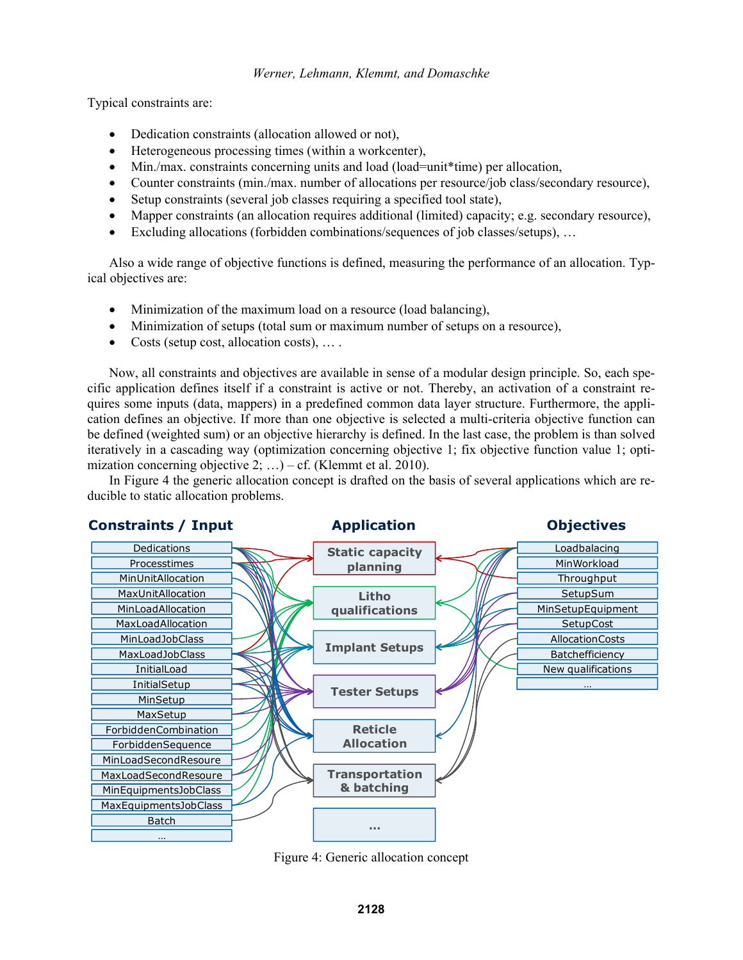Typical constraints are:

- Dedication constraints (allocation allowed or not),
- Heterogeneous processing times (within a workcenter),
- Min./max. constraints concerning units and load (load=unit\*time) per allocation,
- Counter constraints (min./max. number of allocations per resource/job class/secondary resource),
- Setup constraints (several job classes requiring a specified tool state),
- Mapper constraints (an allocation requires additional (limited) capacity; e.g. secondary resource),
- Excluding allocations (forbidden combinations/sequences of job classes/setups), …

Also a wide range of objective functions is defined, measuring the performance of an allocation. Typical objectives are:

- Minimization of the maximum load on a resource (load balancing),
- Minimization of setups (total sum or maximum number of setups on a resource),
- Costs (setup cost, allocation costs), … .

Now, all constraints and objectives are available in sense of a modular design principle. So, each specific application defines itself if a constraint is active or not. Thereby, an activation of a constraint requires some inputs (data, mappers) in a predefined common data layer structure. Furthermore, the application defines an objective. If more than one objective is selected a multi-criteria objective function can be defined (weighted sum) or an objective hierarchy is defined. In the last case, the problem is than solved iteratively in a cascading way (optimization concerning objective 1; fix objective function value 1; optimization concerning objective  $2; \ldots$ ) – cf. (Klemmt et al. 2010).

In Figure 4 the generic allocation concept is drafted on the basis of several applications which are reducible to static allocation problems.



Figure 4: Generic allocation concept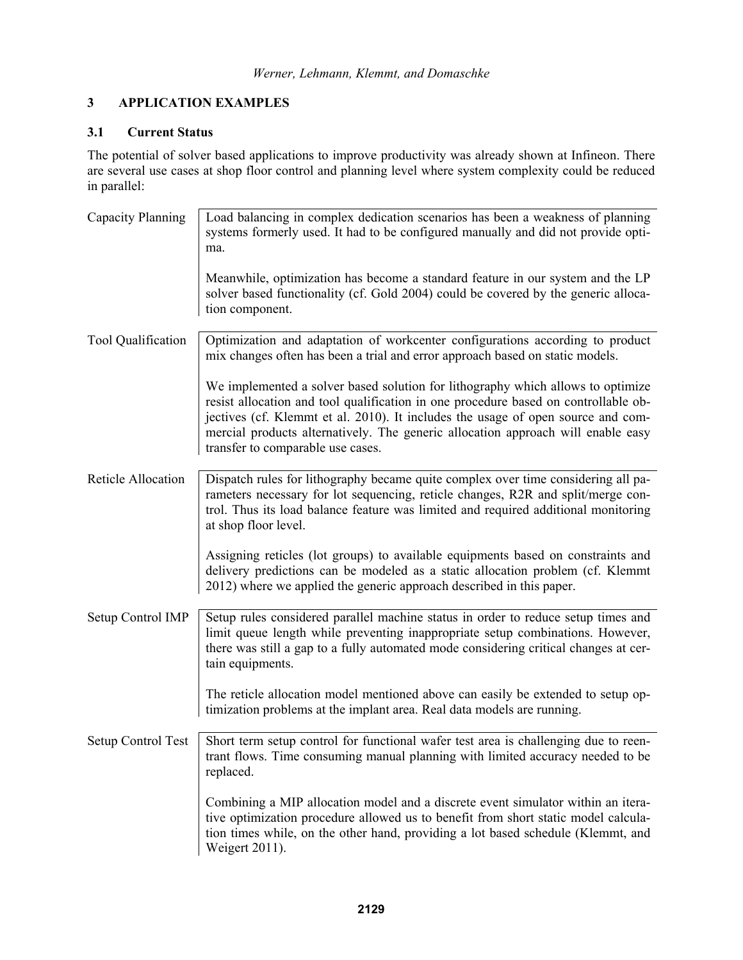# **3 APPLICATION EXAMPLES**

## **3.1 Current Status**

The potential of solver based applications to improve productivity was already shown at Infineon. There are several use cases at shop floor control and planning level where system complexity could be reduced in parallel:

| Capacity Planning         | Load balancing in complex dedication scenarios has been a weakness of planning<br>systems formerly used. It had to be configured manually and did not provide opti-<br>ma.                                                                                                                                                                                                          |
|---------------------------|-------------------------------------------------------------------------------------------------------------------------------------------------------------------------------------------------------------------------------------------------------------------------------------------------------------------------------------------------------------------------------------|
|                           | Meanwhile, optimization has become a standard feature in our system and the LP<br>solver based functionality (cf. Gold 2004) could be covered by the generic alloca-<br>tion component.                                                                                                                                                                                             |
| Tool Qualification        | Optimization and adaptation of workcenter configurations according to product<br>mix changes often has been a trial and error approach based on static models.                                                                                                                                                                                                                      |
|                           | We implemented a solver based solution for lithography which allows to optimize<br>resist allocation and tool qualification in one procedure based on controllable ob-<br>jectives (cf. Klemmt et al. 2010). It includes the usage of open source and com-<br>mercial products alternatively. The generic allocation approach will enable easy<br>transfer to comparable use cases. |
| <b>Reticle Allocation</b> | Dispatch rules for lithography became quite complex over time considering all pa-<br>rameters necessary for lot sequencing, reticle changes, R2R and split/merge con-<br>trol. Thus its load balance feature was limited and required additional monitoring<br>at shop floor level.                                                                                                 |
|                           | Assigning reticles (lot groups) to available equipments based on constraints and<br>delivery predictions can be modeled as a static allocation problem (cf. Klemmt<br>2012) where we applied the generic approach described in this paper.                                                                                                                                          |
| Setup Control IMP         | Setup rules considered parallel machine status in order to reduce setup times and<br>limit queue length while preventing inappropriate setup combinations. However,<br>there was still a gap to a fully automated mode considering critical changes at cer-<br>tain equipments.                                                                                                     |
|                           | The reticle allocation model mentioned above can easily be extended to setup op-<br>timization problems at the implant area. Real data models are running.                                                                                                                                                                                                                          |
| Setup Control Test        | Short term setup control for functional wafer test area is challenging due to reen-<br>trant flows. Time consuming manual planning with limited accuracy needed to be<br>replaced.                                                                                                                                                                                                  |
|                           | Combining a MIP allocation model and a discrete event simulator within an itera-<br>tive optimization procedure allowed us to benefit from short static model calcula-<br>tion times while, on the other hand, providing a lot based schedule (Klemmt, and<br>Weigert 2011).                                                                                                        |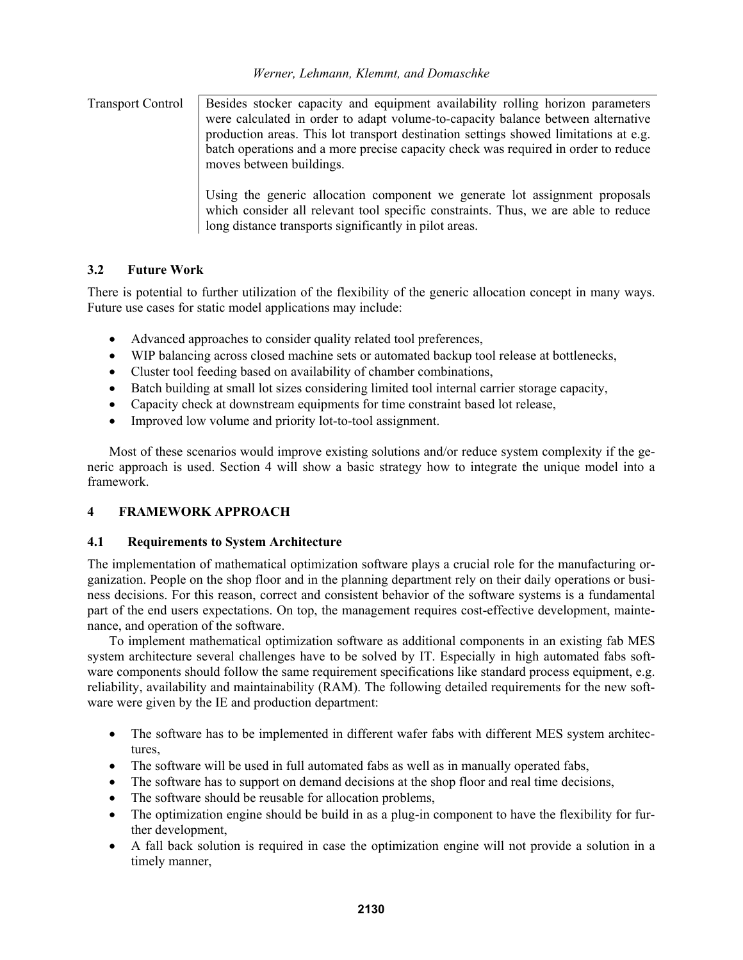Transport Control | Besides stocker capacity and equipment availability rolling horizon parameters were calculated in order to adapt volume-to-capacity balance between alternative production areas. This lot transport destination settings showed limitations at e.g. batch operations and a more precise capacity check was required in order to reduce moves between buildings.

 Using the generic allocation component we generate lot assignment proposals which consider all relevant tool specific constraints. Thus, we are able to reduce long distance transports significantly in pilot areas.

## **3.2 Future Work**

There is potential to further utilization of the flexibility of the generic allocation concept in many ways. Future use cases for static model applications may include:

- Advanced approaches to consider quality related tool preferences,
- WIP balancing across closed machine sets or automated backup tool release at bottlenecks,
- Cluster tool feeding based on availability of chamber combinations,
- Batch building at small lot sizes considering limited tool internal carrier storage capacity,
- Capacity check at downstream equipments for time constraint based lot release,
- Improved low volume and priority lot-to-tool assignment.

Most of these scenarios would improve existing solutions and/or reduce system complexity if the generic approach is used. Section 4 will show a basic strategy how to integrate the unique model into a framework.

## **4 FRAMEWORK APPROACH**

## **4.1 Requirements to System Architecture**

The implementation of mathematical optimization software plays a crucial role for the manufacturing organization. People on the shop floor and in the planning department rely on their daily operations or business decisions. For this reason, correct and consistent behavior of the software systems is a fundamental part of the end users expectations. On top, the management requires cost-effective development, maintenance, and operation of the software.

To implement mathematical optimization software as additional components in an existing fab MES system architecture several challenges have to be solved by IT. Especially in high automated fabs software components should follow the same requirement specifications like standard process equipment, e.g. reliability, availability and maintainability (RAM). The following detailed requirements for the new software were given by the IE and production department:

- The software has to be implemented in different wafer fabs with different MES system architectures,
- The software will be used in full automated fabs as well as in manually operated fabs,
- The software has to support on demand decisions at the shop floor and real time decisions,
- The software should be reusable for allocation problems,
- The optimization engine should be build in as a plug-in component to have the flexibility for further development,
- A fall back solution is required in case the optimization engine will not provide a solution in a timely manner,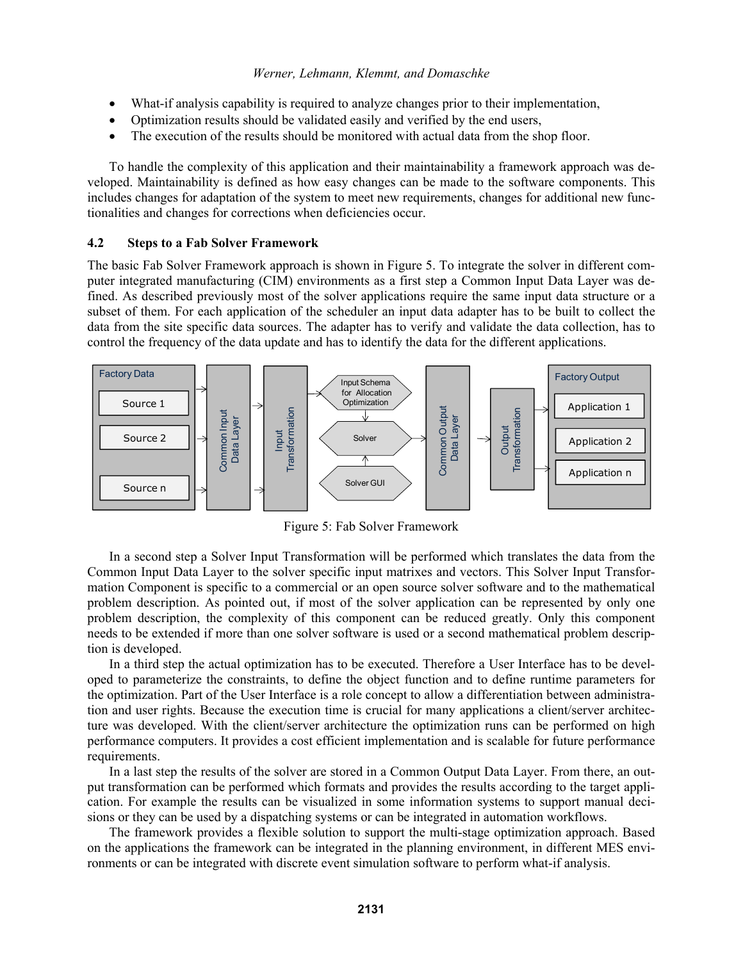- What-if analysis capability is required to analyze changes prior to their implementation,
- Optimization results should be validated easily and verified by the end users,
- The execution of the results should be monitored with actual data from the shop floor.

To handle the complexity of this application and their maintainability a framework approach was developed. Maintainability is defined as how easy changes can be made to the software components. This includes changes for adaptation of the system to meet new requirements, changes for additional new functionalities and changes for corrections when deficiencies occur.

### **4.2 Steps to a Fab Solver Framework**

The basic Fab Solver Framework approach is shown in Figure 5. To integrate the solver in different computer integrated manufacturing (CIM) environments as a first step a Common Input Data Layer was defined. As described previously most of the solver applications require the same input data structure or a subset of them. For each application of the scheduler an input data adapter has to be built to collect the data from the site specific data sources. The adapter has to verify and validate the data collection, has to control the frequency of the data update and has to identify the data for the different applications.



Figure 5: Fab Solver Framework

In a second step a Solver Input Transformation will be performed which translates the data from the Common Input Data Layer to the solver specific input matrixes and vectors. This Solver Input Transformation Component is specific to a commercial or an open source solver software and to the mathematical problem description. As pointed out, if most of the solver application can be represented by only one problem description, the complexity of this component can be reduced greatly. Only this component needs to be extended if more than one solver software is used or a second mathematical problem description is developed.

In a third step the actual optimization has to be executed. Therefore a User Interface has to be developed to parameterize the constraints, to define the object function and to define runtime parameters for the optimization. Part of the User Interface is a role concept to allow a differentiation between administration and user rights. Because the execution time is crucial for many applications a client/server architecture was developed. With the client/server architecture the optimization runs can be performed on high performance computers. It provides a cost efficient implementation and is scalable for future performance requirements.

In a last step the results of the solver are stored in a Common Output Data Layer. From there, an output transformation can be performed which formats and provides the results according to the target application. For example the results can be visualized in some information systems to support manual decisions or they can be used by a dispatching systems or can be integrated in automation workflows.

The framework provides a flexible solution to support the multi-stage optimization approach. Based on the applications the framework can be integrated in the planning environment, in different MES environments or can be integrated with discrete event simulation software to perform what-if analysis.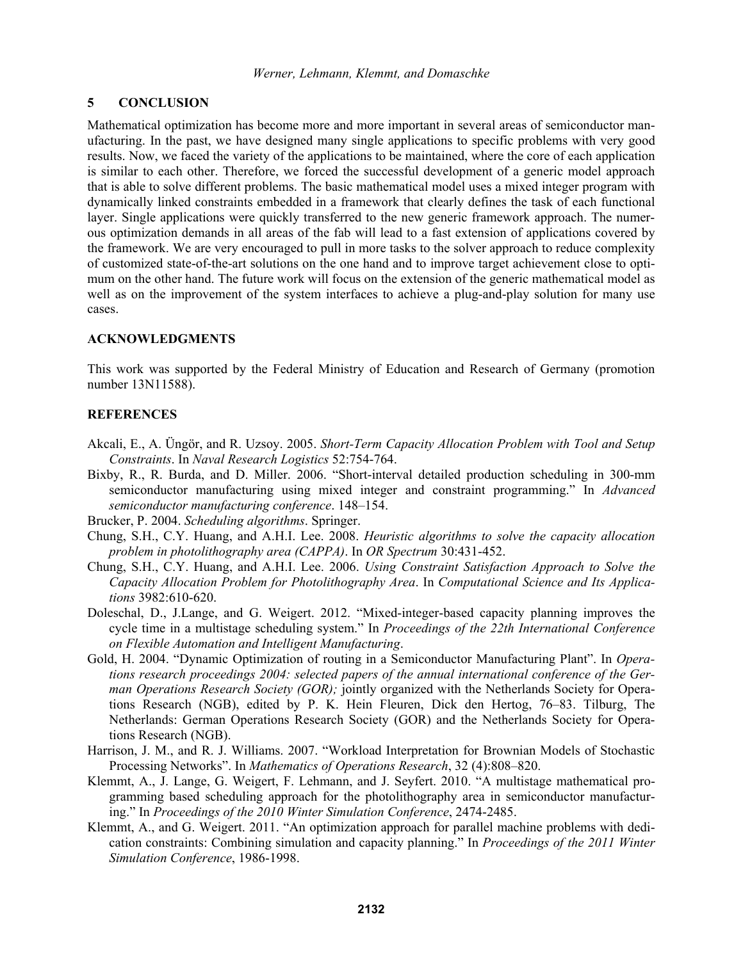## **5 CONCLUSION**

Mathematical optimization has become more and more important in several areas of semiconductor manufacturing. In the past, we have designed many single applications to specific problems with very good results. Now, we faced the variety of the applications to be maintained, where the core of each application is similar to each other. Therefore, we forced the successful development of a generic model approach that is able to solve different problems. The basic mathematical model uses a mixed integer program with dynamically linked constraints embedded in a framework that clearly defines the task of each functional layer. Single applications were quickly transferred to the new generic framework approach. The numerous optimization demands in all areas of the fab will lead to a fast extension of applications covered by the framework. We are very encouraged to pull in more tasks to the solver approach to reduce complexity of customized state-of-the-art solutions on the one hand and to improve target achievement close to optimum on the other hand. The future work will focus on the extension of the generic mathematical model as well as on the improvement of the system interfaces to achieve a plug-and-play solution for many use cases.

## **ACKNOWLEDGMENTS**

This work was supported by the Federal Ministry of Education and Research of Germany (promotion number 13N11588).

## **REFERENCES**

- Akcali, E., A. Üngör, and R. Uzsoy. 2005. *Short-Term Capacity Allocation Problem with Tool and Setup Constraints*. In *Naval Research Logistics* 52:754-764.
- Bixby, R., R. Burda, and D. Miller. 2006. "Short-interval detailed production scheduling in 300-mm semiconductor manufacturing using mixed integer and constraint programming." In *Advanced semiconductor manufacturing conference*. 148–154.
- Brucker, P. 2004. *Scheduling algorithms*. Springer.
- Chung, S.H., C.Y. Huang, and A.H.I. Lee. 2008. *Heuristic algorithms to solve the capacity allocation problem in photolithography area (CAPPA)*. In *OR Spectrum* 30:431-452.
- Chung, S.H., C.Y. Huang, and A.H.I. Lee. 2006. *Using Constraint Satisfaction Approach to Solve the Capacity Allocation Problem for Photolithography Area*. In *Computational Science and Its Applications* 3982:610-620.
- Doleschal, D., J.Lange, and G. Weigert. 2012. "Mixed-integer-based capacity planning improves the cycle time in a multistage scheduling system." In *Proceedings of the 22th International Conference on Flexible Automation and Intelligent Manufacturing*.
- Gold, H. 2004. "Dynamic Optimization of routing in a Semiconductor Manufacturing Plant". In *Operations research proceedings 2004: selected papers of the annual international conference of the German Operations Research Society (GOR);* jointly organized with the Netherlands Society for Operations Research (NGB), edited by P. K. Hein Fleuren, Dick den Hertog, 76–83. Tilburg, The Netherlands: German Operations Research Society (GOR) and the Netherlands Society for Operations Research (NGB).
- Harrison, J. M., and R. J. Williams. 2007. "Workload Interpretation for Brownian Models of Stochastic Processing Networks". In *Mathematics of Operations Research*, 32 (4):808–820.
- Klemmt, A., J. Lange, G. Weigert, F. Lehmann, and J. Seyfert. 2010. "A multistage mathematical programming based scheduling approach for the photolithography area in semiconductor manufacturing." In *Proceedings of the 2010 Winter Simulation Conference*, 2474-2485.
- Klemmt, A., and G. Weigert. 2011. "An optimization approach for parallel machine problems with dedication constraints: Combining simulation and capacity planning." In *Proceedings of the 2011 Winter Simulation Conference*, 1986-1998.